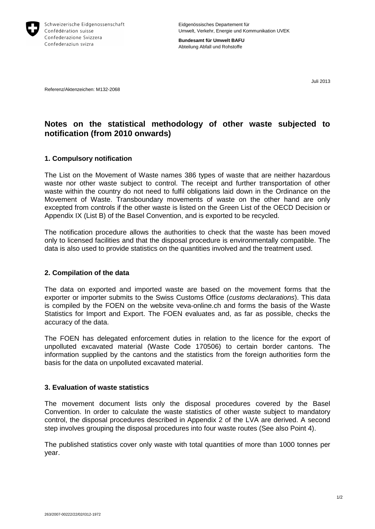

**Bundesamt für Umwelt BAFU** Abteilung Abfall und Rohstoffe

Juli 2013

Referenz/Aktenzeichen: M132-2068

# **Notes on the statistical methodology of other waste subjected to notification (from 2010 onwards)**

### **1. Compulsory notification**

The List on the Movement of Waste names 386 types of waste that are neither hazardous waste nor other waste subject to control. The receipt and further transportation of other waste within the country do not need to fulfil obligations laid down in the Ordinance on the Movement of Waste. Transboundary movements of waste on the other hand are only excepted from controls if the other waste is listed on the Green List of the OECD Decision or Appendix IX (List B) of the Basel Convention, and is exported to be recycled.

The notification procedure allows the authorities to check that the waste has been moved only to licensed facilities and that the disposal procedure is environmentally compatible. The data is also used to provide statistics on the quantities involved and the treatment used.

#### **2. Compilation of the data**

The data on exported and imported waste are based on the movement forms that the exporter or importer submits to the Swiss Customs Office (*customs declarations*). This data is compiled by the FOEN on the website veva-online.ch and forms the basis of the Waste Statistics for Import and Export. The FOEN evaluates and, as far as possible, checks the accuracy of the data.

The FOEN has delegated enforcement duties in relation to the licence for the export of unpolluted excavated material (Waste Code 170506) to certain border cantons. The information supplied by the cantons and the statistics from the foreign authorities form the basis for the data on unpolluted excavated material.

#### **3. Evaluation of waste statistics**

The movement document lists only the disposal procedures covered by the Basel Convention. In order to calculate the waste statistics of other waste subject to mandatory control, the disposal procedures described in Appendix 2 of the LVA are derived. A second step involves grouping the disposal procedures into four waste routes (See also Point 4).

The published statistics cover only waste with total quantities of more than 1000 tonnes per year.